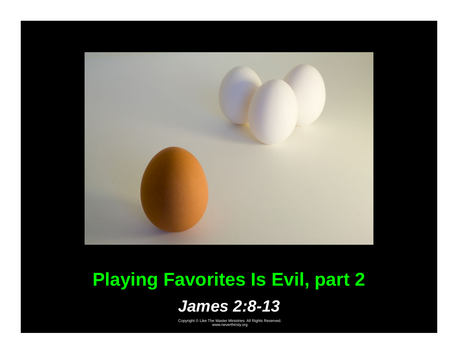

### **Playing Favorites Is Evil, part 2**

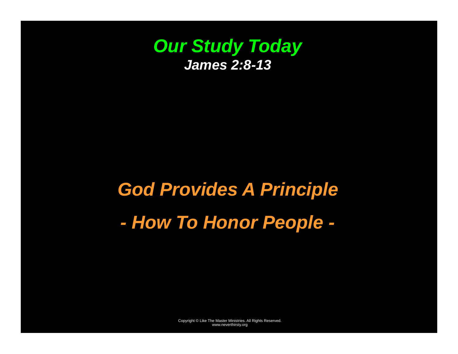

# *God Provides A Principle - How To Honor People -*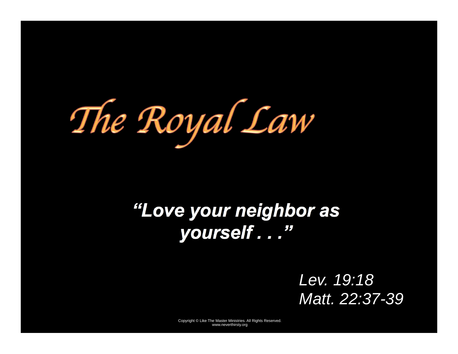The Royal Law

### *"Love your neighbor as yourself . . ."*

*Lev. 19:18 Matt. 22:37-39*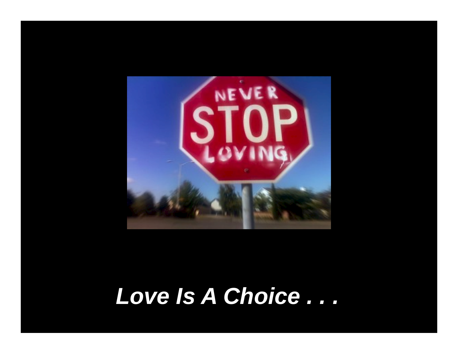

# *Love Is A Choice . . .*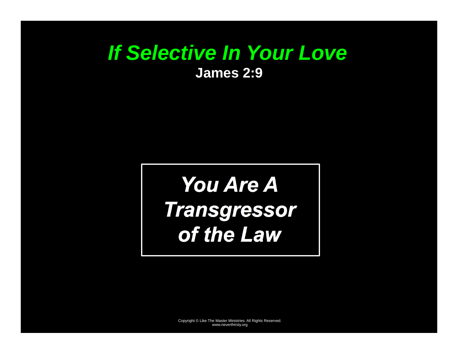#### *If Selective In Your Love*  **James 2:9**

# *You Are A Transgressor of the Law*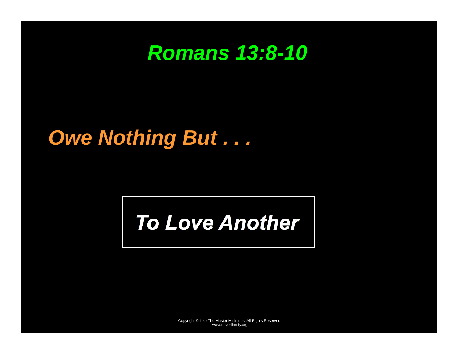### *Romans 13:8-10*

### *Owe Nothing But . . .*

# *To Love Another*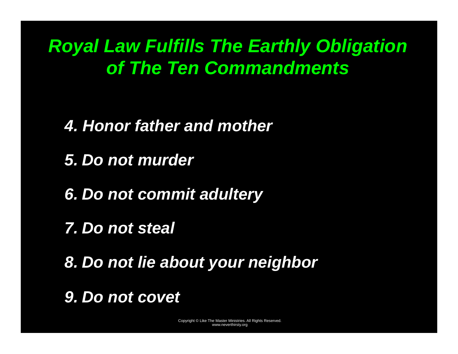*Royal Law Fulfills The Earthly Obligation of The Ten Commandments* 

*4. Honor father and mother* 

*5. Do not murder* 

*6. Do not commit adultery* 

*7. Do not steal* 

*8. Do not lie about your neighbor* 

*9. Do not covet*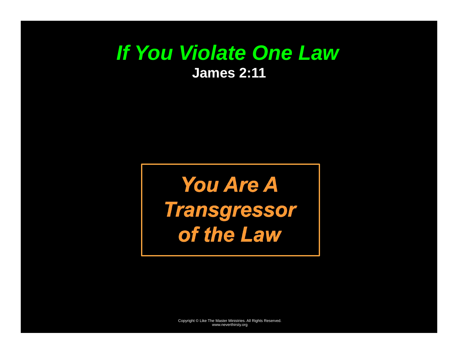#### *If You Violate One Law*  **James 2:11**

*You Are A Transgressor of the Law*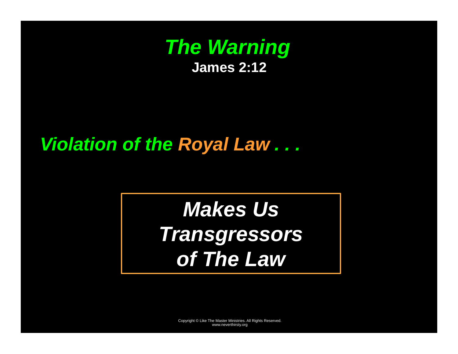

#### *Violation of the Royal Law . . .*

# *Makes Us Transgressors of The Law*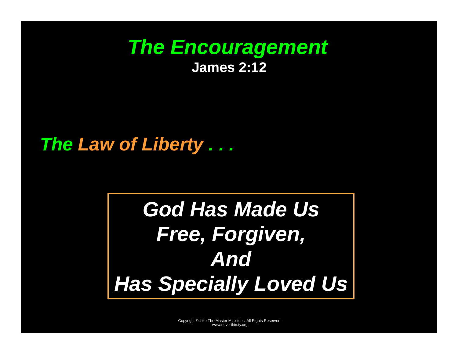#### *The Encouragement*  **James 2:12**

#### *The Law of Liberty . . .*

# *God Has Made Us Free, Forgiven, And Has Specially Loved Us*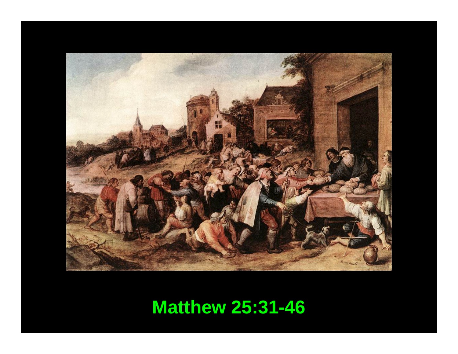

### **Matthew 25:31-46**